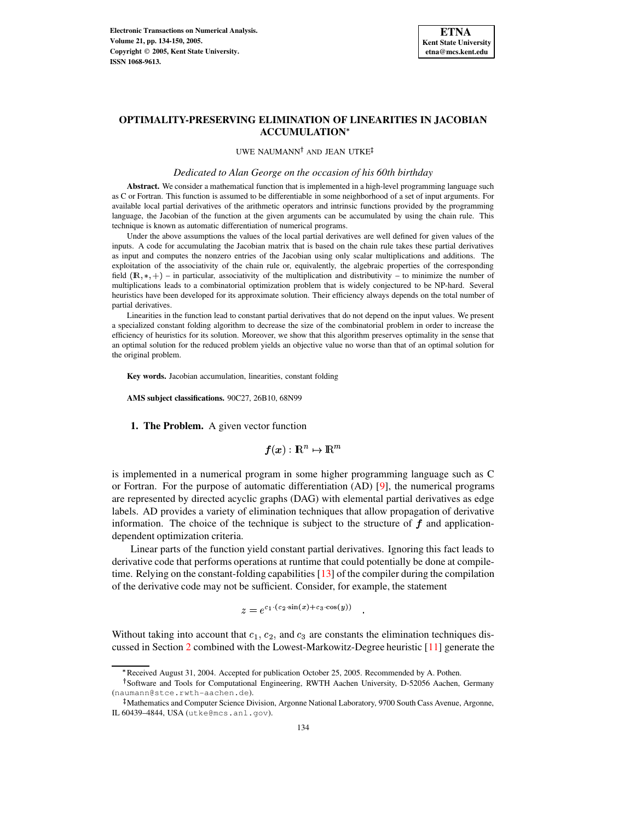

# **OPTIMALITY-PRESERVING ELIMINATION OF LINEARITIES IN JACOBIAN ACCUMULATION**

UWE NAUMANN<sup>†</sup> AND JEAN UTKE

*Dedicated to Alan George on the occasion of his 60th birthday*

**Abstract.** We consider a mathematical function that is implemented in a high-level programming language such as C or Fortran. This function is assumed to be differentiable in some neighborhood of a set of input arguments. For available local partial derivatives of the arithmetic operators and intrinsic functions provided by the programming language, the Jacobian of the function at the given arguments can be accumulated by using the chain rule. This technique is known as automatic differentiation of numerical programs.

Under the above assumptions the values of the local partial derivatives are well defined for given values of the inputs. A code for accumulating the Jacobian matrix that is based on the chain rule takes these partial derivatives as input and computes the nonzero entries of the Jacobian using only scalar multiplications and additions. The exploitation of the associativity of the chain rule or, equivalently, the algebraic properties of the corresponding field  $(\mathbb{R},*,+)$  – in particular, associativity of the multiplication and distributivity – to minimize the number of multiplications leads to a combinatorial optimization problem that is widely conjectured to be NP-hard. Several heuristics have been developed for its approximate solution. Their efficiency always depends on the total number of partial derivatives.

Linearities in the function lead to constant partial derivatives that do not depend on the input values. We present a specialized constant folding algorithm to decrease the size of the combinatorial problem in order to increase the efficiency of heuristics for its solution. Moreover, we show that this algorithm preserves optimality in the sense that an optimal solution for the reduced problem yields an objective value no worse than that of an optimal solution for the original problem.

**Key words.** Jacobian accumulation, linearities, constant folding

<span id="page-0-0"></span>**AMS subject classifications.** 90C27, 26B10, 68N99

**1. The Problem.** A given vector function

$$
\boldsymbol{f}(\boldsymbol{x}):\mathbb{R}^n\mapsto\mathbb{R}^m
$$

is implemented in a numerical program in some higher programming language such as C or Fortran. For the purpose of automatic differentiation (AD) [\[9\]](#page-15-0), the numerical programs are represented by directed acyclic graphs (DAG) with elemental partial derivatives as edge labels. AD provides a variety of elimination techniques that allow propagation of derivative information. The choice of the technique is subject to the structure of  $f$  and applicationdependent optimization criteria.

Linear parts of the function yield constant partial derivatives. Ignoring this fact leads to derivative code that performs operations at runtime that could potentially be done at compiletime. Relying on the constant-folding capabilities [\[13\]](#page-15-1) of the compiler during the compilation of the derivative code may not be sufficient. Consider, for example, the statement

$$
\gamma = e^{c_1 \cdot (c_2 \cdot \sin(x) + c_3 \cdot \cos(y))}
$$

Without taking into account that  $c_1$ ,  $c_2$ , and  $c_3$  are constants the elimination techniques discussed in Section [2](#page-1-0) combined with the Lowest-Markowitz-Degree heuristic [\[11\]](#page-15-2) generate the

<sup>\*</sup> Received August 31, 2004. Accepted for publication October 25, 2005. Recommended by A. Pothen.

<sup>&</sup>lt;sup>†</sup>Software and Tools for Computational Engineering, RWTH Aachen University, D-52056 Aachen, Germany (naumann@stce.rwth-aachen.de).

<sup>-</sup> Mathematics and Computer Science Division, Argonne National Laboratory, 9700 South Cass Avenue, Argonne, IL 60439–4844, USA (utke@mcs.anl.gov).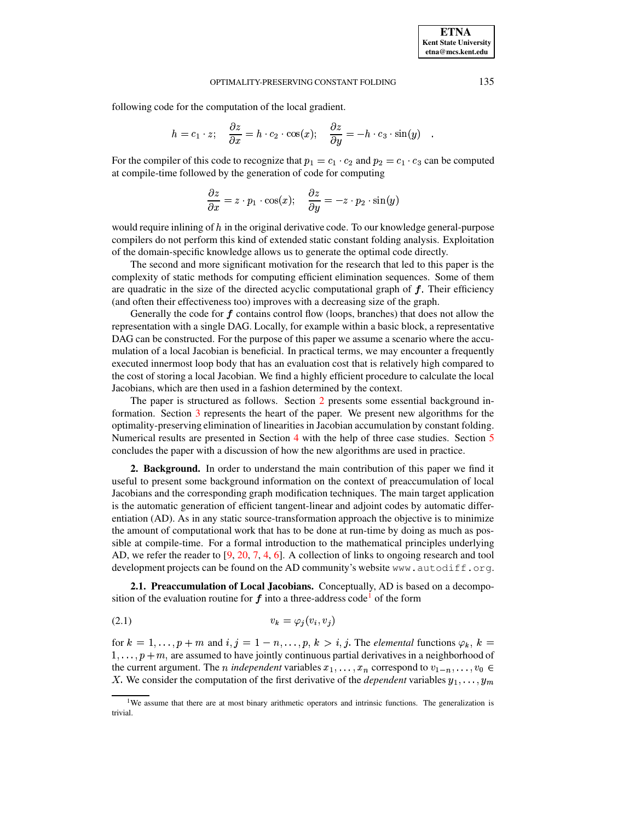following code for the computation of the local gradient.

$$
h = c_1 \cdot z; \quad \frac{\partial z}{\partial x} = h \cdot c_2 \cdot \cos(x); \quad \frac{\partial z}{\partial y} = -h \cdot c_3 \cdot \sin(y) .
$$

For the compiler of this code to recognize that  $p_1 = c_1 \cdot c_2$  and  $p_2 = c_1 \cdot c_3$  can be computed at compile-time followed by the generation of code for computing

$$
\frac{\partial z}{\partial x} = z \cdot p_1 \cdot \cos(x); \quad \frac{\partial z}{\partial y} = -z \cdot p_2 \cdot \sin(y)
$$

would require inlining of  $h$  in the original derivative code. To our knowledge general-purpose compilers do not perform this kind of extended static constant folding analysis. Exploitation of the domain-specific knowledge allows us to generate the optimal code directly.

The second and more significant motivation for the research that led to this paper is the complexity of static methods for computing efficient elimination sequences. Some of them are quadratic in the size of the directed acyclic computational graph of  $f$ . Their efficiency (and often their effectiveness too) improves with a decreasing size of the graph.

Generally the code for  $f$  contains control flow (loops, branches) that does not allow the representation with a single DAG. Locally, for example within a basic block, a representative DAG can be constructed. For the purpose of this paper we assume a scenario where the accumulation of a local Jacobian is beneficial. In practical terms, we may encounter a frequently executed innermost loop body that has an evaluation cost that is relatively high compared to the cost of storing a local Jacobian. We find a highly efficient procedure to calculate the local Jacobians, which are then used in a fashion determined by the context.

The paper is structured as follows. Section [2](#page-1-0) presents some essential background information. Section [3](#page-4-0) represents the heart of the paper. We present new algorithms for the optimality-preserving elimination of linearities in Jacobian accumulation by constant folding. Numerical results are presented in Section [4](#page-10-0) with the help of three case studies. Section [5](#page-14-0) concludes the paper with a discussion of how the new algorithms are used in practice.

<span id="page-1-0"></span>**2. Background.** In order to understand the main contribution of this paper we find it useful to present some background information on the context of preaccumulation of local Jacobians and the corresponding graph modification techniques. The main target application is the automatic generation of efficient tangent-linear and adjoint codes by automatic differentiation (AD). As in any static source-transformation approach the objective is to minimize the amount of computational work that has to be done at run-time by doing as much as possible at compile-time. For a formal introduction to the mathematical principles underlying AD, we refer the reader to [\[9,](#page-15-0) [20,](#page-16-0) [7,](#page-15-3) [4,](#page-15-4) [6\]](#page-15-5). A collection of links to ongoing research and tool development projects can be found on the AD community's website www.autodiff.org.

<span id="page-1-2"></span>**2.1. Preaccumulation of Local Jacobians.** Conceptually, AD is based on a decomposition of the evaluation routine for  $f$  into a three-address code<sup>[1](#page-1-1)</sup> of the form

$$
(2.1) \t\t v_k = \varphi_j(v_i, v_j)
$$

for  $k = 1, \ldots, p+m$  and  $i, j = 1-n, \ldots, p, k > i, j$ . The *elemental* functions  $\varphi_k$ ,  $k =$  $1, \ldots, p+m$ , are assumed to have jointly continuous partial derivatives in a neighborhood of the current argument. The *n* independent variables  $x_1, \ldots, x_n$  correspond to  $v_{1-n}, \ldots, v_0 \in$ X. We consider the computation of the first derivative of the *dependent* variables  $y_1, \ldots, y_m$ 

<span id="page-1-1"></span><sup>&</sup>lt;sup>1</sup>We assume that there are at most binary arithmetic operators and intrinsic functions. The generalization is trivial.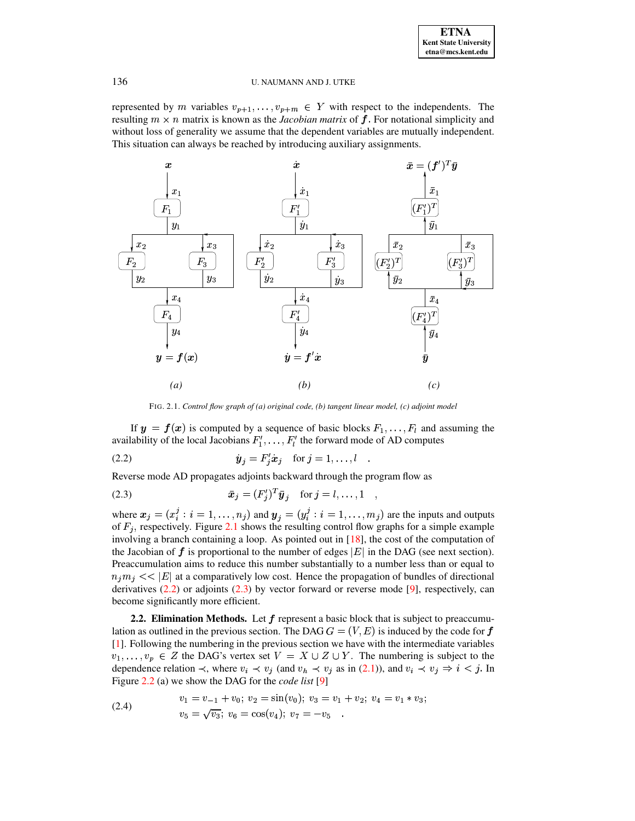represented by m variables  $v_{p+1}, \ldots, v_{p+m} \in Y$  with respect to the independents. The resulting  $m \times n$  matrix is known as the *Jacobian matrix* of  $f$ . For notational simplicity and without loss of generality we assume that the dependent variables are mutually independent. This situation can always be reached by introducing auxiliary assignments.



FIG. 2.1. *Control flow graph of (a) original code, (b) tangent linear model, (c) adjoint model*

<span id="page-2-0"></span>If  $y = f(x)$  is computed by a sequence of basic blocks  $F_1, \ldots, F_l$  and assuming the availability of the local Jacobians  $F'_1, \ldots, F'_l$  the forward mode of AD computes

(2.2) <sup>i</sup> # i <sup>i</sup> for <sup>u</sup> #em <sup>H</sup> CKCC HA <sup>C</sup>

Reverse mode AD propagates adjoints backward through the program flow as

(2.3) 
$$
\bar{x}_j = (F'_j)^T \bar{y}_j \text{ for } j = l, ..., 1 ,
$$

where  $x_j = (x_i^j : i = 1,$ . de la construcción de la construcción de la construcción de la construcción de la construcción de la construcción de la construcción de la construcción de la construcción de la construcción de la construcción de la constru :  $i = 1, ..., n_j$ ) and  $y_j = (y_i^j : i = 1, ...$ de la construcción de la construcción de la construcción de la construcción de la construcción de la construcción de la construcción de la construcción de la construcción de la construcción de la construcción de la constru  $i = 1, \ldots, m_j$  are the inputs and outputs of  $F_j$ , respectively. Figure [2.1](#page-2-0) shows the resulting control flow graphs for a simple example involving a branch containing a loop. As pointed out in [\[18\]](#page-15-6), the cost of the computation of the Jacobian of  $f$  is proportional to the number of edges  $|E|$  in the DAG (see next section). Preaccumulation aims to reduce this number substantially to a number less than or equal to  $n_j m_j << |E|$  at a comparatively low cost. Hence the propagation of bundles of directional derivatives  $(2.2)$  or adjoints  $(2.3)$  by vector forward or reverse mode [\[9\]](#page-15-0), respectively, can become significantly more efficient.

<span id="page-2-2"></span><span id="page-2-1"></span><sup>H</sup>

<span id="page-2-4"></span>**2.2. Elimination Methods.** Let  $f$  represent a basic block that is subject to preaccumulation as outlined in the previous section. The DAG  $G = (V, E)$  is induced by the code for  $f$ [\[1\]](#page-15-7). Following the numbering in the previous section we have with the intermediate variables  $v_1, \ldots, v_p \in Z$  the DAG's vertex set  $V = X \cup Z \cup Y$ . The numbering is subject to the dependence relation  $\prec$ , where  $v_i \prec v_j$  (and  $v_h \prec v_j$  as in [\(2.1\)](#page-1-2)), and  $v_i \prec v_j \Rightarrow i \prec j$ . In Figure [2.2](#page-3-0) (a) we show the DAG for the *code list* [\[9\]](#page-15-0)

<span id="page-2-3"></span>(2.4) 
$$
v_1 = v_{-1} + v_0; v_2 = \sin(v_0); v_3 = v_1 + v_2; v_4 = v_1 * v_3; v_5 = \sqrt{v_3}; v_6 = \cos(v_4); v_7 = -v_5
$$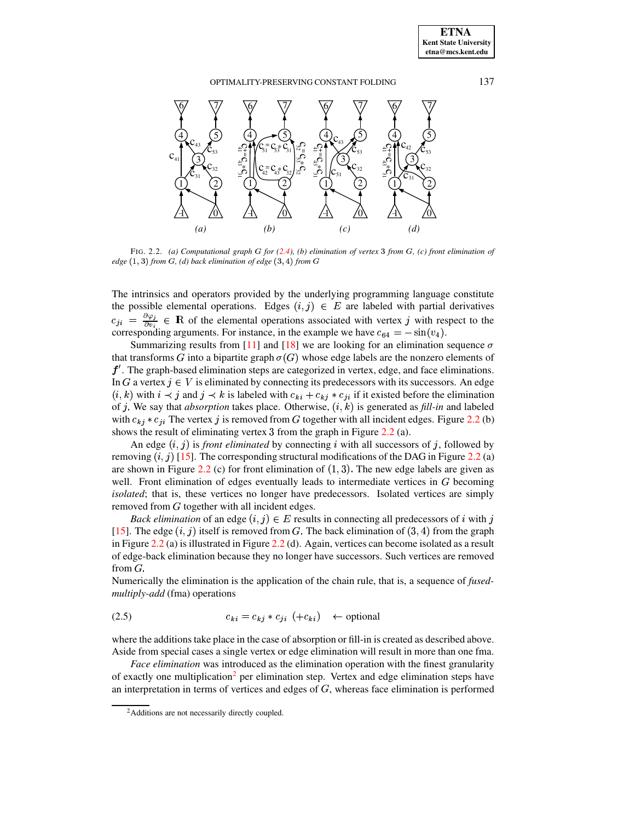**ETNA Kent State University etna@mcs.kent.edu**

# OPTIMALITY-PRESERVING CONSTANT FOLDING 137



<span id="page-3-0"></span>FIG. 2.2. *(a) Computational graph* ® *for [\(2.4\)](#page-2-3), (b) elimination of vertex* ¯ *from* ®*, (c) front elimination of*  $edge (1, 3)$  from  $G$ ,  $(d)$  back elimination of edge  $(3, 4)$  from  $G$ 

The intrinsics and operators provided by the underlying programming language constitute the possible elemental operations. Edges  $(i, j) \in E$  are labeled with partial derivatives  $c_{ji} = \frac{\partial \varphi_i}{\partial v_i} \in \mathbb{R}$  of the elemental operations associated with vertex j with respect to the corresponding arguments. For instance, in the example we have  $c_{64} = -\sin(v_4)$ .

Summarizing results from [\[11\]](#page-15-2) and [\[18\]](#page-15-6) we are looking for an elimination sequence  $\sigma$ that transforms G into a bipartite graph  $\sigma(G)$  whose edge labels are the nonzero elements of  $f'$ . The graph-based elimination steps are categorized in vertex, edge, and face eliminations. In G a vertex  $j \in V$  is eliminated by connecting its predecessors with its successors. An edge  $(i, k)$  with  $i \prec j$  and  $j \prec k$  is labeled with  $c_{ki} + c_{kj} * c_{ji}$  if it existed before the elimination of *j*. We say that *absorption* takes place. Otherwise,  $(i, k)$  is generated as *fill-in* and labeled with  $c_{kj} * c_{ji}$  The vertex j is removed from G together with all incident edges. Figure [2.2](#page-3-0) (b) shows the result of eliminating vertex  $3$  from the graph in Figure  $2.2$  (a).

An edge  $(i, j)$  is *front eliminated* by connecting i with all successors of j, followed by removing  $(i, j)$  [\[15\]](#page-15-8). The corresponding structural modifications of the DAG in Figure [2.2](#page-3-0) (a) are shown in Figure [2.2](#page-3-0) (c) for front elimination of  $(1, 3)$ . The new edge labels are given as well. Front elimination of edges eventually leads to intermediate vertices in  $G$  becoming *isolated*; that is, these vertices no longer have predecessors. Isolated vertices are simply removed from  $G$  together with all incident edges.

*Back elimination* of an edge  $(i, j) \in E$  results in connecting all predecessors of i with j [\[15\]](#page-15-8). The edge  $(i, j)$  itself is removed from G. The back elimination of  $(3, 4)$  from the graph in Figure [2.2](#page-3-0) (a) is illustrated in Figure [2.2](#page-3-0) (d). Again, vertices can become isolated as a result of edge-back elimination because they no longer have successors. Such vertices are removed from  $G$ .

Numerically the elimination is the application of the chain rule, that is, a sequence of *fusedmultiply-add* (fma) operations

$$
(2.5) \t\t\t c_{ki} = c_{kj} * c_{ji} (+c_{ki}) \leftarrow \text{optional}
$$

where the additions take place in the case of absorption or fill-in is created as described above. Aside from special cases a single vertex or edge elimination will result in more than one fma.

*Face elimination* was introduced as the elimination operation with the finest granularity of exactly one multiplication<sup>[2](#page-3-1)</sup> per elimination step. Vertex and edge elimination steps have an interpretation in terms of vertices and edges of  $G$ , whereas face elimination is performed

<span id="page-3-1"></span><sup>&</sup>lt;sup>2</sup>Additions are not necessarily directly coupled.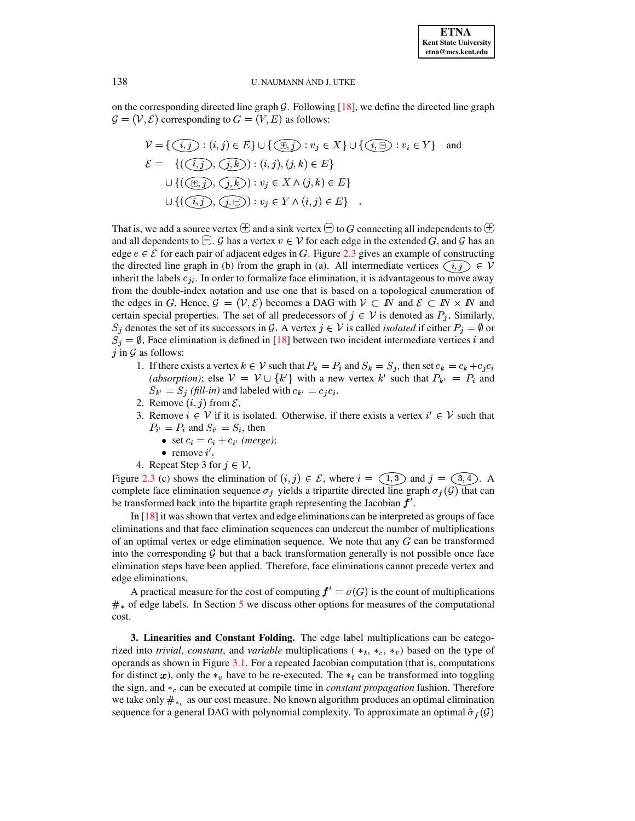on the corresponding directed line graph  $\mathcal G$ . Following [\[18\]](#page-15-6), we define the directed line graph  $\mathcal{G} = (\mathcal{V}, \mathcal{E})$  corresponding to  $G = (V, E)$  as follows:

PSfrag replacements  $j \in E$   $\cup$   $\{(\oplus, j) : v_j \in X\}$   $\cup$   $\{(\underbrace{i, \ominus) : v_i \in Y\}$  and PSfrag replacements PSfrag replacements PSfrag replacements PSfrag replacements  $(i,k) : (i,j), (j,k) \in E$ PSfrag replacements  $(j,k) : v_j \in X \wedge (j,k) \in E$  $\cup \{ ((i, j), (j, \ominus)) : v_j \in Y \wedge (i, j) \in E \}$ .

That is, we add a source vertex  $\oplus$  and a sink vertex  $\ominus$  to G connecting all independents to  $\oplus$ and all dependents to  $\bigcirc$ . G has a vertex  $v \in V$  for each edge in the extended  $G$ , and G has an edge  $e \in \mathcal{E}$  for each pair of adjacent edges in G. Figure [2.3](#page-5-0) **gSfres an example of constructing** the directed line graph in (b) from the graph in (a). All intermediate vertices  $(i, j) \in V$ inherit the labels  $c_{ji}$ . In order to formalize face elimination, it is advantageous to move away from the double-index notation and use one that is based on a topological enumeration of the edges in G. Hence,  $\mathcal{G} = (\mathcal{V}, \mathcal{E})$  becomes a DAG with  $\mathcal{V} \subset \mathbb{N}$  and  $\mathcal{E} \subset \mathbb{N} \times \mathbb{N}$  and certain special properties. The set of all predecessors of  $j \in V$  is denoted as  $P_j$ . Similarly,  $S_j$  denotes the set of its successors in G. A vertex  $j \in V$  is called *isolated* if either  $P_j = \emptyset$  or  $S_i = \emptyset$ . Face elimination is defined in [\[18\]](#page-15-6) between two incident intermediate vertices i and  $j$  in  $\mathcal G$  as follows:

- 1. If there exists a vertex  $k \in V$  such that  $P_k = P_i$  and  $S_k = S_j$ , then set  $c_k = c_k + c_j c_i$ (absorption); else  $V = V \cup \{k'\}$  with a new vertex k' such that  $P_{k'} = P_i$  and  $S_{k'} = S_i$  (fill-in) and labeled with  $c_{k'} = c_i c_i$ .
- 2. Remove  $(i, j)$  from  $\mathcal{E}$ .
- 3. Remove  $i \in V$  if it is isolated. Otherwise, if there exists a vertex  $i' \in V$  such that  $P_{i'} = P_i$  and  $S_{i'} = S_i$ , then
	- set  $c_i = c_i + c_{i'}$  (merge);
	- remove  $i'$ .
- 4. Repeat Step 3 for  $j \in \mathcal{V}$ . PSfrag replacements PSfrag replacements

Figure [2.3](#page-5-0) (c) shows the elimination of  $(i, \overline{j}) \in \mathcal{E}$ , where  $i = (1, 3)$  and  $j = (3, 4)$ . A complete face elimination sequence  $\sigma_f$  yields a tripartite directed line graph  $\sigma_f(\mathcal{G})$  that can be transformed back into the bipartite graph representing the Jacobian  $f'$ .

In [\[18\]](#page-15-6) it was shown that vertex and edge eliminations can be interpreted as groups of face eliminations and that face elimination sequences can undercut the number of multiplications of an optimal vertex or edge elimination sequence. We note that any  $G$  can be transformed into the corresponding  $G$  but that a back transformation generally is not possible once face elimination steps have been applied. Therefore, face eliminations cannot precede vertex and edge eliminations.

A practical measure for the cost of computing  $f' = \sigma(G)$  is the count of multiplications  $\#_*$  of edge labels. In Section [5](#page-14-0) we discuss other options for measures of the computational cost.

<span id="page-4-0"></span>**3. Linearities and Constant Folding.** The edge label multiplications can be categorized into *trivial*, *constant*, and *variable* multiplications ( $*_t$ ,  $*_c$ ,  $*_v$ ) based on the type of operands as shown in Figure [3.1.](#page-5-1) For a repeated Jacobian computation (that is, computations for distinct x, only the  $*_v$  have to be re-executed. The  $*_t$  can be transformed into toggling the sign, and § ' can be executed at compile time in *constant propagation* fashion. Therefore we take only  $\#_{*_v}$  as our cost measure. No known algorithm produces an optimal elimination sequence for a general DAG with polynomial complexity. To approximate an optimal  $\hat{\sigma}_f(\mathcal{G})$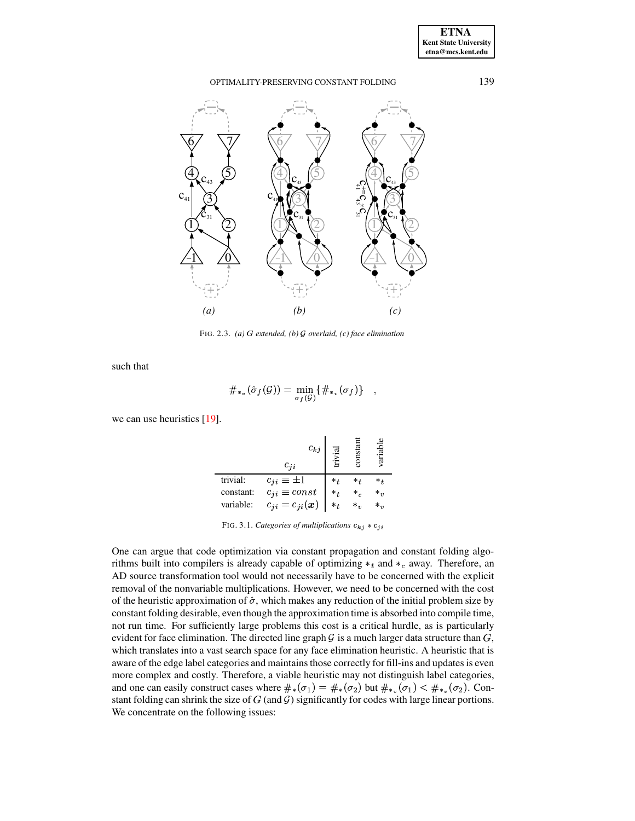

<span id="page-5-0"></span>FIG. 2.3. (a) G extended, (b)  $G$  overlaid, (c) face elimination

such that

$$
\#_{*_v}(\hat{\sigma}_f(\mathcal{G})) = \min_{\sigma_f(\mathcal{G})} \{ \#_{*_v}(\sigma_f) \} ,
$$

we can use heuristics  $[19]$ .

|           | $c_{kj}$<br>$c_{ii}$  |                             |     | rari    |
|-----------|-----------------------|-----------------------------|-----|---------|
| trivial:  | $c_{ji} \equiv \pm 1$ | $*_{\scriptscriptstyle{f}}$ | $*$ | *+      |
| constant: | $c_{ji} \equiv const$ | $*_{t}$                     | *,  | $*_{v}$ |
| variable: | $c_{ji}=c_{ji}(x)$    | $*_{+}$                     |     | $*_{n}$ |

<span id="page-5-1"></span>FIG. 3.1. Categories of multiplications  $c_{kj} * c_{ji}$ 

One can argue that code optimization via constant propagation and constant folding algorithms built into compilers is already capable of optimizing  $*_t$  and  $*_c$  away. Therefore, an AD source transformation tool would not necessarily have to be concerned with the explicit removal of the nonvariable multiplications. However, we need to be concerned with the cost of the heuristic approximation of  $\hat{\sigma}$ , which makes any reduction of the initial problem size by constant folding desirable, even though the approximation time is absorbed into compile time, not run time. For sufficiently large problems this cost is a critical hurdle, as is particularly evident for face elimination. The directed line graph  $G$  is a much larger data structure than  $G$ , which translates into a vast search space for any face elimination heuristic. A heuristic that is aware of the edge label categories and maintains those correctly for fill-ins and updates is even more complex and costly. Therefore, a viable heuristic may not distinguish label categories, and one can easily construct cases where  $\#_*(\sigma_1) = \#_*(\sigma_2)$  but  $\#_{*_v}(\sigma_1) < \#_{*_v}(\sigma_2)$ . Constant folding can shrink the size of  $G$  (and  $G$ ) significantly for codes with large linear portions. We concentrate on the following issues:

139

**ETNA Kent State University**  $etna@mcs. kent.edu$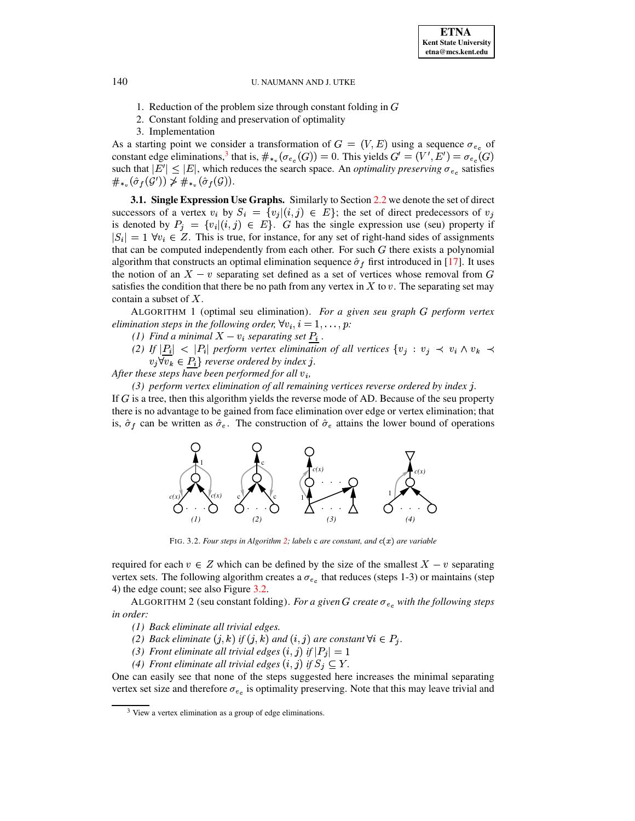- 1. Reduction of the problem size through constant folding in  $G$
- 2. Constant folding and preservation of optimality
- 3. Implementation

As a starting point we consider a transformation of  $G = (V, E)$  using a sequence  $\sigma_{e_e}$  of constant edge eliminations,<sup>3</sup> that is,  $\#_{*_{v}}(\sigma_{e_{c}}(G)) = 0$ . This yields  $G' = (V', E') = \sigma_{e_{c}}(G)$ such that  $|E'| \leq |E|$ , which reduces the search space. An *optimality preserving*  $\sigma_{e_c}$  satisfies  $\#_{*_v}(\hat{\sigma}_f(\mathcal{G}')) \ngeq \#_{*_v}(\hat{\sigma}_f(\mathcal{G})).$ 

**3.1. Single Expression Use Graphs.** Similarly to Section 2.2 we denote the set of direct successors of a vertex  $v_i$  by  $S_i = \{v_j | (i,j) \in E\}$ ; the set of direct predecessors of  $v_j$ is denoted by  $P_j = \{v_i | (i,j) \in E\}$ . G has the single expression use (seu) property if  $|S_i| = 1$   $\forall v_i \in Z$ . This is true, for instance, for any set of right-hand sides of assignments that can be computed independently from each other. For such  $G$  there exists a polynomial algorithm that constructs an optimal elimination sequence  $\hat{\sigma}_f$  first introduced in [17]. It uses the notion of an  $X - v$  separating set defined as a set of vertices whose removal from G satisfies the condition that there be no path from any vertex in X to v. The separating set may contain a subset of  $X$ .

<span id="page-6-3"></span>ALGORITHM 1 (optimal seu elimination). For a given seu graph G perform vertex elimination steps in the following order,  $\forall v_i, i = 1, \ldots, p$ .

- (1) Find a minimal  $X v_i$  separating set  $P_i$ .
- (2) If  $|P_i| < |P_i|$  perform vertex elimination of all vertices  $\{v_j : v_j \prec v_i \wedge v_k \prec v_j\}$  $v_j \forall v_k \in P_i$  reverse ordered by index j.

After these steps have been performed for all  $v_i$ ,

 $(3)$  perform vertex elimination of all remaining vertices reverse ordered by index j.

If  $G$  is a tree, then this algorithm yields the reverse mode of AD. Because of the seu property there is no advantage to be gained from face elimination over edge or vertex elimination; that is,  $\hat{\sigma}_f$  can be written as  $\hat{\sigma}_e$ . The construction of  $\hat{\sigma}_e$  attains the lower bound of operations



<span id="page-6-1"></span>FIG. 3.2. Four steps in Algorithm 2; labels c are constant, and  $c(x)$  are variable

<span id="page-6-2"></span>required for each  $v \in Z$  which can be defined by the size of the smallest  $X - v$  separating vertex sets. The following algorithm creates a  $\sigma_{e_c}$  that reduces (steps 1-3) or maintains (step 4) the edge count; see also Figure 3.2.

ALGORITHM 2 (seu constant folding). For a given G create  $\sigma_{e_c}$  with the following steps in order:

- (1) Back eliminate all trivial edges.
- (2) Back eliminate  $(j, k)$  if  $(j, k)$  and  $(i, j)$  are constant  $\forall i \in P_j$ .
- (3) Front eliminate all trivial edges  $(i, j)$  if  $|P_i| = 1$
- (4) Front eliminate all trivial edges  $(i, j)$  if  $S_j \subseteq Y$ .

One can easily see that none of the steps suggested here increases the minimal separating vertex set size and therefore  $\sigma_{e_{c}}$  is optimality preserving. Note that this may leave trivial and

140

<span id="page-6-0"></span> $3$  View a vertex elimination as a group of edge eliminations.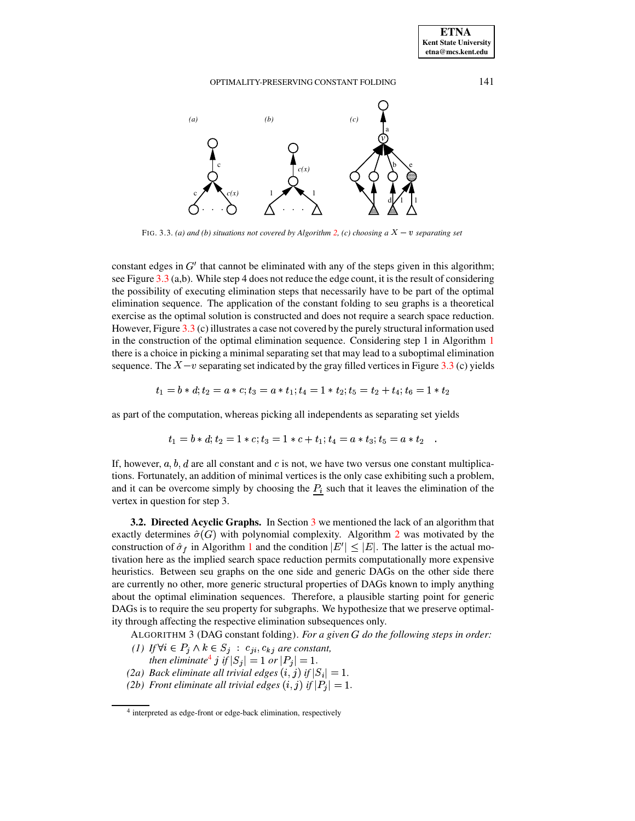

FIG. 3.3. (a) and (b) situations not covered by Algorithm [2,](#page-6-1) (c) choosing  $a X - v$  separating set

<span id="page-7-0"></span>constant edges in  $G'$  that cannot be eliminated with any of the steps given in this algorithm; see Figure  $3.3$  (a,b). While step 4 does not reduce the edge count, it is the result of considering the possibility of executing elimination steps that necessarily have to be part of the optimal elimination sequence. The application of the constant folding to seu graphs is a theoretical exercise as the optimal solution is constructed and does not require a search space reduction. However, Figure [3.3](#page-7-0) (c) illustrates a case not covered by the purely structural information used in the construction of the optimal elimination sequence. Considering step 1 in Algorithm [1](#page-6-3) there is a choice in picking a minimal separating set that may lead to a suboptimal elimination sequence. The  $X - v$  separating set indicated by the gray filled vertices in Figure [3.3](#page-7-0) (c) yields

$$
t_1=b\ast d; t_2=a\ast c; t_3=a\ast t_1; t_4=1\ast t_2; t_5=t_2+t_4; t_6=1\ast t_2
$$

as part of the computation, whereas picking all independents as separating set yields

$$
t_1 = b * d; t_2 = 1 * c; t_3 = 1 * c + t_1; t_4 = a * t_3; t_5 = a * t_2
$$

If, however,  $a, b, d$  are all constant and c is not, we have two versus one constant multiplications. Fortunately, an addition of minimal vertices is the only case exhibiting such a problem, and it can be overcome simply by choosing the  $P_i$  such that it leaves the elimination of the vertex in question for step 3.

**3.2. Directed Acyclic Graphs.** In Section [3](#page-4-0) we mentioned the lack of an algorithm that exactly determines  $\hat{\sigma}(G)$  with polynomial complexity. Algorithm [2](#page-6-1) was motivated by the construction of  $\hat{\sigma}_f$  in Algorithm [1](#page-6-3) and the condition  $|E'| \leq |E|$ . The latter is the actual motivation here as the implied search space reduction permits computationally more expensive heuristics. Between seu graphs on the one side and generic DAGs on the other side there are currently no other, more generic structural properties of DAGs known to imply anything about the optimal elimination sequences. Therefore, a plausible starting point for generic DAGs is to require the seu property for subgraphs. We hypothesize that we preserve optimality through affecting the respective elimination subsequences only.

<span id="page-7-2"></span>ALGORITHM 3 (DAG constant folding). *For a given do the following steps in order:*

- (1) If  $\forall i \in P_j \land k \in S_j : c_{ji}, c_{kj}$  are constant,
- *then eliminate*<sup>[4](#page-7-1)</sup>  $j$  *if*  $|S_j| = 1$  *or*  $|P_j| = 1$ *.*
- *(2a)* Back eliminate all trivial edges  $(i, j)$  if  $|S_i| = 1$ .
- *(2b) Front eliminate* all *trivial edges*  $(i, j)$  *if*  $|P_j| = 1$ .

<span id="page-7-1"></span><sup>4</sup> interpreted as edge-front or edge-back elimination, respectively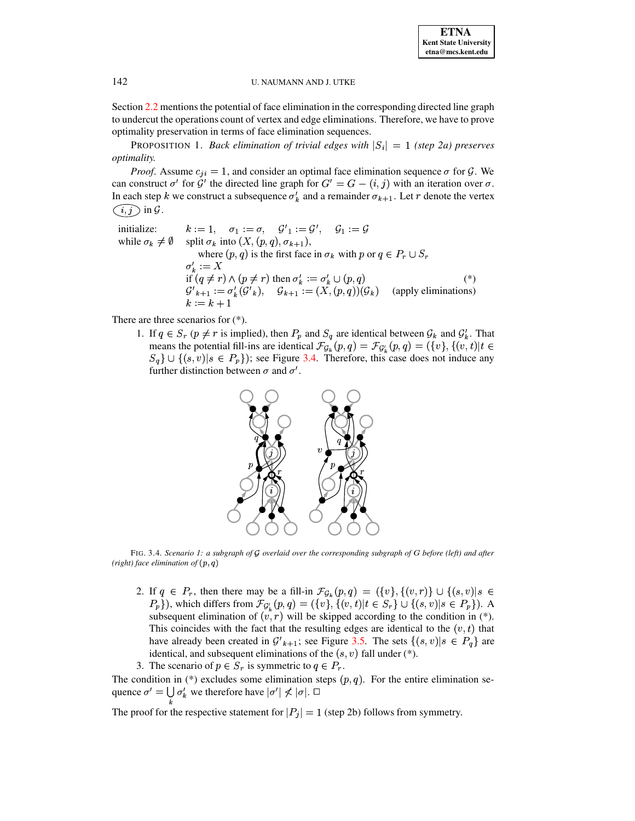Section 2.2 mentions the potential of face elimination in the corresponding directed line graph to undercut the operations count of vertex and edge eliminations. Therefore, we have to prove optimality preservation in terms of face elimination sequences.

<span id="page-8-1"></span>**PROPOSITION 1. Back elimination of trivial edges with**  $|S_i| = 1$  **(step 2a) preserves** *optimality.* 

*Proof.* Assume  $c_{ji} = 1$ , and consider an optimal face elimination sequence  $\sigma$  for  $\mathcal{G}$ . We can construct  $\sigma'$  for  $\tilde{\mathcal{G}}'$  the directed line graph for  $G' = G - (i, j)$  with an iteration over  $\sigma$ . PSfrag replacementsIn each step k we construct a subsequence  $\sigma'_k$  and a remainder  $\sigma_{k+1}$ . Let r denote the vertex

$$
\boxed{i,j} \text{ in } \mathcal{G}.
$$

C

 $k := 1, \quad \sigma_1 := \sigma, \quad \mathcal{G}'_1 := \mathcal{G}', \quad \mathcal{G}_1 := \mathcal{G}$ initialize: while  $\sigma_k \neq \emptyset$  split  $\sigma_k$  into  $(X, (p, q), \sigma_{k+1})$ , where  $(p, q)$  is the first face in  $\sigma_k$  with  $p$  or  $q \in P_r \cup S_r$ <br> $\sigma'_k := X$ if  $(q \neq r) \wedge (p \neq r)$  then  $\sigma'_k := \sigma'_k \cup (p, q)$  (\*)<br>  $\mathcal{G'}_{k+1} := \sigma'_k(\mathcal{G'}_k)$ ,  $\mathcal{G}_{k+1} := (X, (p, q))(\mathcal{G}_k)$  (apply eliminations)  $k := k + 1$ 

There are three scenarios for  $(*)$ .

1. If  $q \in S_r$  ( $p \neq r$  is implied), then  $P_p$  and  $S_q$  are identical between  $\mathcal{G}_k$  and  $\mathcal{G}'_k$ . That means the potential fill-ins are identical  $\mathcal{F}_{\mathcal{G}_k}(p,q) = \mathcal{F}_{\mathcal{G}'_k}(p,q) = (\{v\}, \{(v,t)|t\in$  $S_q$   $\cup$  { $(s, v) | s \in P_p$ }); see Figure 3.4. Therefore, this case does not induce any further distinction between  $\sigma$  and  $\sigma'$ .



<span id="page-8-0"></span>FIG. 3.4. Scenario 1: a subgraph of  $G$  overlaid over the corresponding subgraph of  $G$  before (left) and after (right) face elimination of  $(p, q)$ 

- 2. If  $q \in P_r$ , then there may be a fill-in  $\mathcal{F}_{\mathcal{G}_k}(p,q) = (\{v\}, \{(v,r)\} \cup \{(s,v)|s \in$  $P_p$ }), which differs from  $\mathcal{F}_{\mathcal{G}'_k}(p,q) = (\{v\}, \{(v,t)|t \in S_r\} \cup \{(s,v)|s \in P_p\})$ . A subsequent elimination of  $(v, r)$  will be skipped according to the condition in (\*). This coincides with the fact that the resulting edges are identical to the  $(v, t)$  that have already been created in  $\mathcal{G'}_{k+1}$ ; see Figure 3.5. The sets  $\{(s, v)|s \in P_q\}$  are identical, and subsequent eliminations of the  $(s, v)$  fall under  $(*)$ .
- 3. The scenario of  $p \in S_r$  is symmetric to  $q \in P_r$ .

The condition in (\*) excludes some elimination steps  $(p, q)$ . For the entire elimination sequence  $\sigma' = \bigcup \sigma'_k$  we therefore have  $|\sigma'| \nless |\sigma|$ .  $\Box$ 

The proof for the respective statement for  $|P_i| = 1$  (step 2b) follows from symmetry.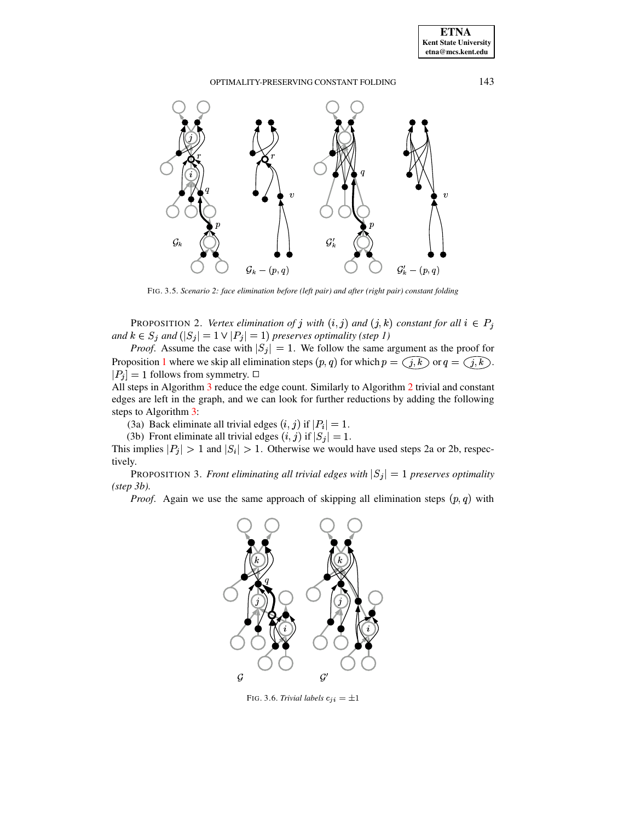

FIG. 3.5. Scenario 2: face elimination before (left pair) and after (right pair) constant folding

<span id="page-9-0"></span>**PROPOSITION 2.** Vertex elimination of j with  $(i, j)$  and  $(j, k)$  constant for all  $i \in P_j$ and  $k \in S_j$  and  $(|S_j| = 1 \vee |P_j| = 1)$  preserves optimality (step 1)

*Proof.* Assume the case with  $|S_j| = 1$ . We positive the sum estimated by Proposition 1 where we skip all elimination steps  $(p, q)$  for which  $p = \langle j, k \rangle$  or  $q = \langle j, k \rangle$ .  $|P_j| = 1$  follows from symmetry.  $\Box$ 

All steps in Algorithm 3 reduce the edge count. Similarly to Algorithm 2 trivial and constant edges are left in the graph, and we can look for further reductions by adding the following steps to Algorithm 3:

(3a) Back eliminate all trivial edges  $(i, j)$  if  $|P_i| = 1$ .

(3b) Front eliminate all trivial edges  $(i, j)$  if  $|S_j| = 1$ .

This implies  $|P_j| > 1$  and  $|S_i| > 1$ . Otherwise we would have used steps 2a or 2b, respectively.

PROPOSITION 3. Front eliminating all trivial edges with  $|S_j| = 1$  preserves optimality  $(s_{\text{top}} 3b)$ .

*Proof.* Again we use the same approach of skipping all elimination steps  $(p, q)$  with



<span id="page-9-1"></span>FIG. 3.6. Trivial labels  $c_{ji} = \pm 1$ 

**ETNA Kent State University**  $etna@mcs. kent.edu$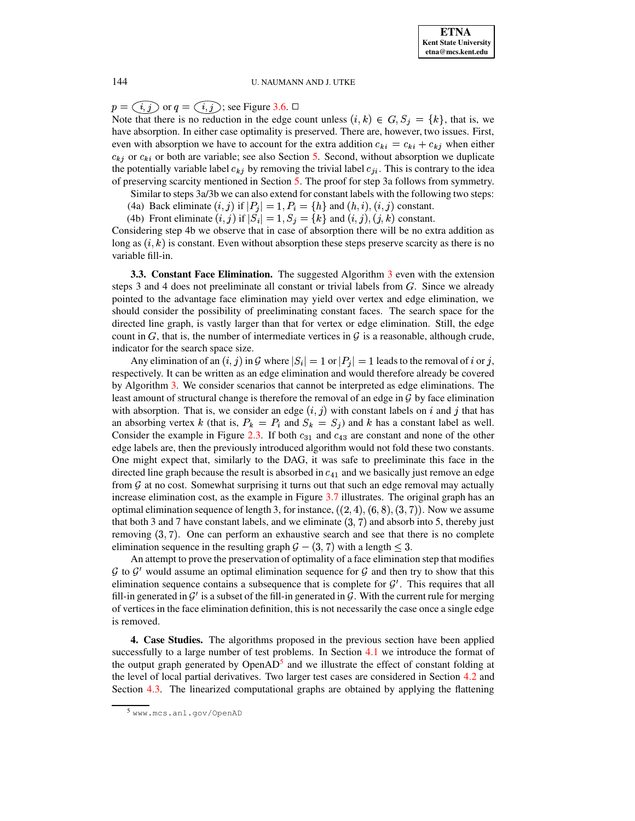# PSfrag replacem**ents** replacements

 $p = (i, j)$  or  $q = (i, j)$ ; see Figure [3.6.](#page-9-1)  $\Box$ 

Note that there is no reduction in the edge count unless  $(i,k) \in G, S_j = \{k\}$ , that is, we have absorption. In either case optimality is preserved. There are, however, two issues. First, even with absorption we have to account for the extra addition  $c_{ki} = c_{ki} + c_{kj}$  when either  $c_{kj}$  or  $c_{ki}$  or both are variable; see also Section [5.](#page-14-0) Second, without absorption we duplicate the potentially variable label  $c_{ki}$  by removing the trivial label  $c_{ji}$ . This is contrary to the idea of preserving scarcity mentioned in Section [5.](#page-14-0) The proof for step 3a follows from symmetry.

Similar to steps 3a/3b we can also extend for constant labels with the following two steps:

- (4a) Back eliminate  $(i, j)$  if  $|P_j| = 1, P_i = \{h\}$  and  $(h, i), (i, j)$  constant.
- (4b) Front eliminate  $(i, j)$  if  $|S_i| = 1, S_j = \{k\}$  and  $(i, j), (j, k)$  constant.

Considering step 4b we observe that in case of absorption there will be no extra addition as long as  $(i, k)$  is constant. Even without absorption these steps preserve scarcity as there is no variable fill-in.

**3.3. Constant Face Elimination.** The suggested Algorithm [3](#page-7-2) even with the extension steps 3 and 4 does not preeliminate all constant or trivial labels from  $G$ . Since we already pointed to the advantage face elimination may yield over vertex and edge elimination, we should consider the possibility of preeliminating constant faces. The search space for the directed line graph, is vastly larger than that for vertex or edge elimination. Still, the edge count in  $G$ , that is, the number of intermediate vertices in  $G$  is a reasonable, although crude, indicator for the search space size.

Any elimination of an  $(i, j)$  in G where  $|S_i| = 1$  or  $|P_j| = 1$  leads to the removal of i or j, respectively. It can be written as an edge elimination and would therefore already be covered by Algorithm [3.](#page-7-2) We consider scenarios that cannot be interpreted as edge eliminations. The least amount of structural change is therefore the removal of an edge in  $\mathcal G$  by face elimination with absorption. That is, we consider an edge  $(i, j)$  with constant labels on i and j that has an absorbing vertex k (that is,  $P_k = P_i$  and  $S_k = S_i$ ) and k has a constant label as well. Consider the example in Figure [2.3.](#page-5-0) If both  $c_{31}$  and  $c_{43}$  are constant and none of the other edge labels are, then the previously introduced algorithm would not fold these two constants. One might expect that, similarly to the DAG, it was safe to preeliminate this face in the directed line graph because the result is absorbed in  $c_{41}$  and we basically just remove an edge from  $G$  at no cost. Somewhat surprising it turns out that such an edge removal may actually increase elimination cost, as the example in Figure  $3.7$  illustrates. The original graph has an optimal elimination sequence of length 3, for instance,  $((2,4), (6,8), (3,7))$ . Now we assume that both 3 and 7 have constant labels, and we eliminate  $(3, 7)$  and absorb into 5, thereby just removing  $(3, 7)$ . One can perform an exhaustive search and see that there is no complete elimination sequence in the resulting graph  $\mathcal{G} - (3, 7)$  with a length  $\leq 3$ .

An attempt to prove the preservation of optimality of a face elimination step that modifies  $G$  to  $G'$  would assume an optimal elimination sequence for  $G$  and then try to show that this elimination sequence contains a subsequence that is complete for  $\mathcal{G}'$ . This requires that all fill-in generated in  $\mathcal{G}'$  is a subset of the fill-in generated in  $\mathcal{G}$ . With the current rule for merging of vertices in the face elimination definition, this is not necessarily the case once a single edge is removed.

<span id="page-10-0"></span>**4. Case Studies.** The algorithms proposed in the previous section have been applied successfully to a large number of test problems. In Section [4.1](#page-11-1) we introduce the format of the output graph generated by OpenAD<sup>[5](#page-10-1)</sup> and we illustrate the effect of constant folding at the level of local partial derivatives. Two larger test cases are considered in Section [4.2](#page-12-0) and Section [4.3.](#page-13-0) The linearized computational graphs are obtained by applying the flattening

<span id="page-10-1"></span><sup>5</sup> www.mcs.anl.gov/OpenAD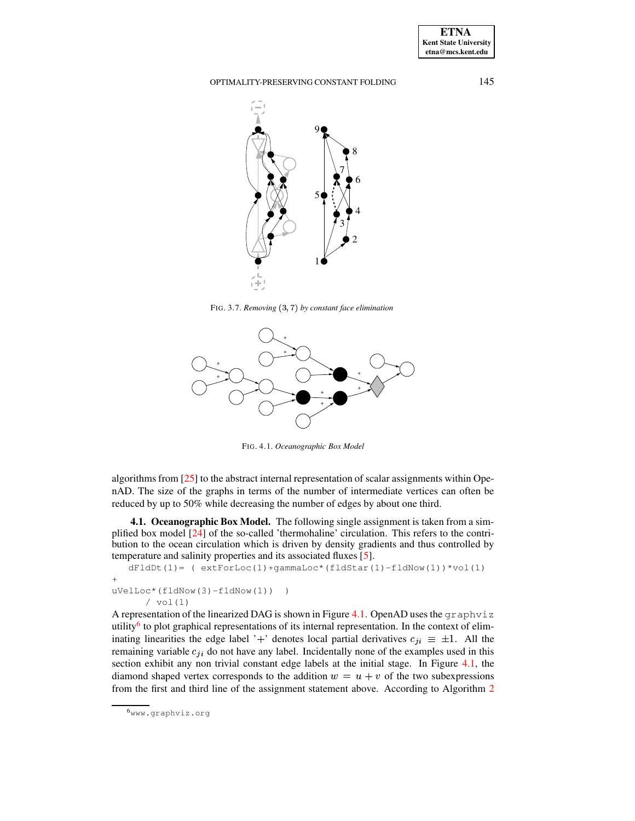**ETNA Kent State University etna@mcs.kent.edu**

OPTIMALITY-PRESERVING CONSTANT FOLDING 145



<span id="page-11-0"></span>FIG. 3.7. *Removing* (3, 7) *by constant face elimination* 



<span id="page-11-2"></span>FIG. 4.1. *Oceanographic Box Model*

algorithms from [\[25\]](#page-16-1) to the abstract internal representation of scalar assignments within OpenAD. The size of the graphs in terms of the number of intermediate vertices can often be reduced by up to 50% while decreasing the number of edges by about one third.

<span id="page-11-1"></span>**4.1. Oceanographic Box Model.** The following single assignment is taken from a simplified box model [\[24\]](#page-16-2) of the so-called 'thermohaline' circulation. This refers to the contribution to the ocean circulation which is driven by density gradients and thus controlled by temperature and salinity properties and its associated fluxes [\[5\]](#page-15-11).

```
dFldDt(1) = (extForLoc(1)+gammaLoc*(fldStar(1)-fldNow(1))*vol(1)+
uVelLoc*(fldNow(3)-fldNow(1)) )
      / vol(1)
```
A representation of the linearized DAG is shown in Figure [4.1.](#page-11-2) OpenAD uses the graphviz utility<sup>[6](#page-11-3)</sup> to plot graphical representations of its internal representation. In the context of eliminating linearities the edge label '+' denotes local partial derivatives  $c_{ji} \equiv \pm 1$ . All the remaining variable  $c_{ji}$  do not have any label. Incidentally none of the examples used in this section exhibit any non trivial constant edge labels at the initial stage. In Figure [4.1,](#page-11-2) the diamond shaped vertex corresponds to the addition  $w = u + v$  of the two subexpressions from the first and third line of the assignment statement above. According to Algorithm [2](#page-6-1)

<span id="page-11-3"></span><sup>6</sup>www.graphviz.org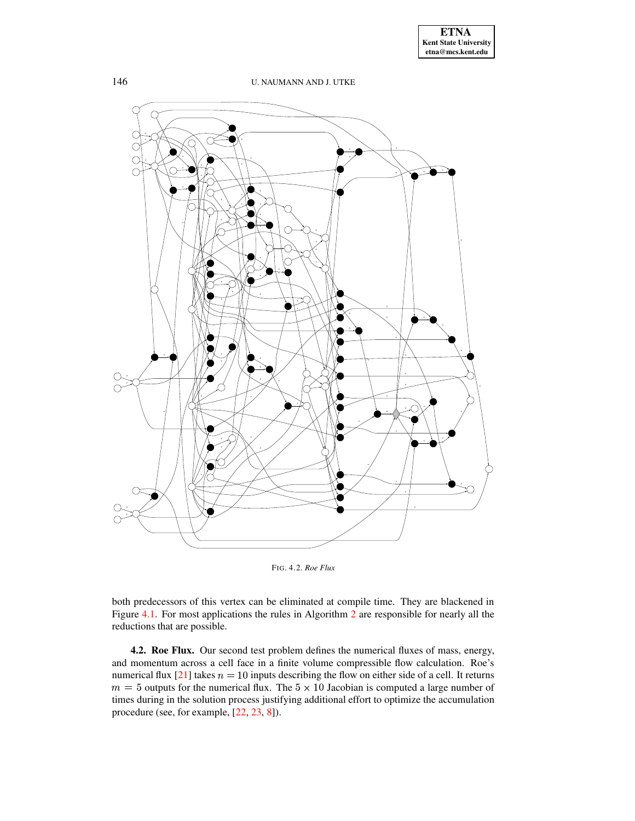

<span id="page-12-1"></span>FIG. 4.2. *Roe Flux*

both predecessors of this vertex can be eliminated at compile time. They are blackened in Figure [4.1.](#page-11-2) For most applications the rules in Algorithm [2](#page-6-1) are responsible for nearly all the reductions that are possible.

<span id="page-12-0"></span>**4.2. Roe Flux.** Our second test problem defines the numerical fluxes of mass, energy, and momentum across a cell face in a finite volume compressible flow calculation. Roe's numerical flux [\[21\]](#page-16-3) takes  $n = 10$  inputs describing the flow on either side of a cell. It returns  $m = 5$  outputs for the numerical flux. The  $5 \times 10$  Jacobian is computed a large number of times during in the solution process justifying additional effort to optimize the accumulation procedure (see, for example, [\[22,](#page-16-4) [23,](#page-16-5) [8\]](#page-15-12)).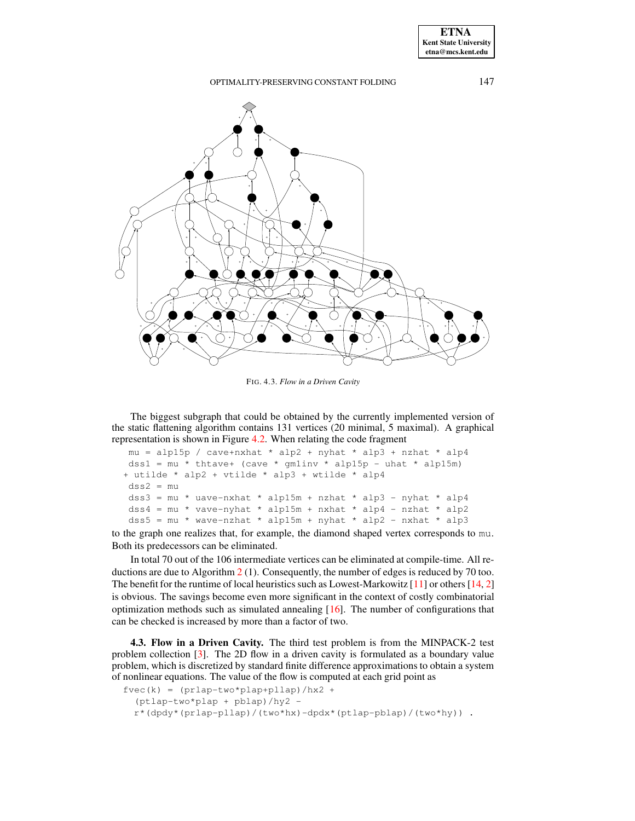

<span id="page-13-1"></span>FIG. 4.3. *Flow in a Driven Cavity*

The biggest subgraph that could be obtained by the currently implemented version of the static flattening algorithm contains 131 vertices (20 minimal, 5 maximal). A graphical representation is shown in Figure [4.2.](#page-12-1) When relating the code fragment

```
mu = alp15p / cave+nxhat * alp2 + nyhat * alp3 + nzhat * alp4
dss1 = mu * thtave+ (cave * gmlinv * alpha5p - uhat * alpha5m)
+ utilde * alp2 + vtilde * alp3 + wtilde * alp4
dss2 = mudss3 = mu * uave-nxhat * alp15m + nzhat * alp3 - nyhat * alp4
dss4 = mu * vave-nyhat * alphap15m + nxhat * alphap4 - nzhat * alphadss5 = mu * wave-nzhat * alpha+nyhat * alp2 - nxhat * alp3
```
to the graph one realizes that, for example, the diamond shaped vertex corresponds to mu. Both its predecessors can be eliminated.

In total 70 out of the 106 intermediate vertices can be eliminated at compile-time. All reductions are due to Algorithm [2](#page-6-1) (1). Consequently, the number of edges is reduced by 70 too. The benefit for the runtime of local heuristics such as Lowest-Markowitz  $[11]$  or others  $[14, 2]$  $[14, 2]$  $[14, 2]$ is obvious. The savings become even more significant in the context of costly combinatorial optimization methods such as simulated annealing [\[16\]](#page-15-15). The number of configurations that can be checked is increased by more than a factor of two.

<span id="page-13-0"></span>**4.3. Flow in a Driven Cavity.** The third test problem is from the MINPACK-2 test problem collection [\[3\]](#page-15-16). The 2D flow in a driven cavity is formulated as a boundary value problem, which is discretized by standard finite difference approximations to obtain a system of nonlinear equations. The value of the flow is computed at each grid point as

```
fvec(k) = (prlap-two*plap+pllap)/hx2 +
  (ptlap-two*plap + pblap)/hy2 -
 r*(dpdy*(prlap-pllap)/(two*hx)-dpdx*(ptlap-pblap)/(two*hy)) .
```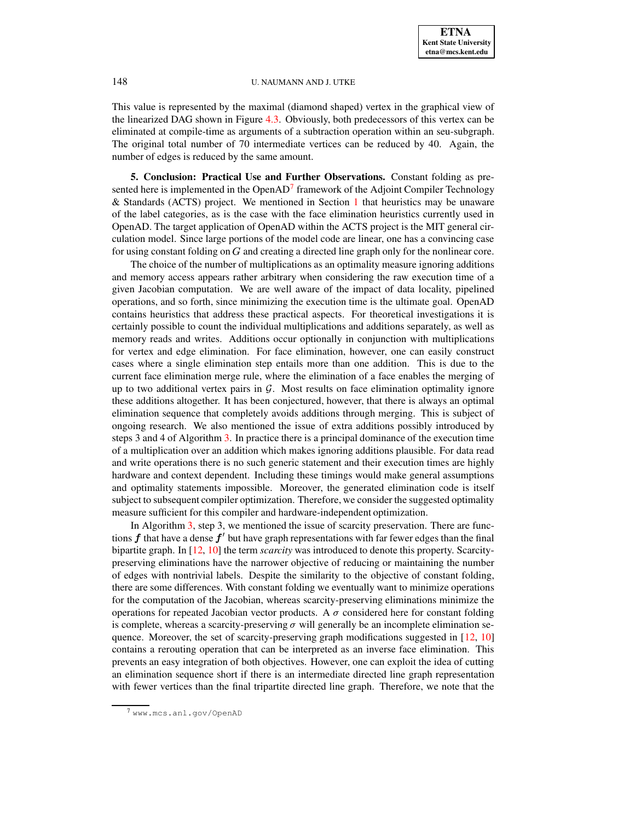This value is represented by the maximal (diamond shaped) vertex in the graphical view of the linearized DAG shown in Figure [4.3.](#page-13-1) Obviously, both predecessors of this vertex can be eliminated at compile-time as arguments of a subtraction operation within an seu-subgraph. The original total number of 70 intermediate vertices can be reduced by 40. Again, the number of edges is reduced by the same amount.

<span id="page-14-0"></span>**5. Conclusion: Practical Use and Further Observations.** Constant folding as presented here is implemented in the OpenAD $^7$  $^7$  framework of the Adjoint Compiler Technology & Standards (ACTS) project. We mentioned in Section [1](#page-0-0) that heuristics may be unaware of the label categories, as is the case with the face elimination heuristics currently used in OpenAD. The target application of OpenAD within the ACTS project is the MIT general circulation model. Since large portions of the model code are linear, one has a convincing case for using constant folding on  $G$  and creating a directed line graph only for the nonlinear core.

The choice of the number of multiplications as an optimality measure ignoring additions and memory access appears rather arbitrary when considering the raw execution time of a given Jacobian computation. We are well aware of the impact of data locality, pipelined operations, and so forth, since minimizing the execution time is the ultimate goal. OpenAD contains heuristics that address these practical aspects. For theoretical investigations it is certainly possible to count the individual multiplications and additions separately, as well as memory reads and writes. Additions occur optionally in conjunction with multiplications for vertex and edge elimination. For face elimination, however, one can easily construct cases where a single elimination step entails more than one addition. This is due to the current face elimination merge rule, where the elimination of a face enables the merging of up to two additional vertex pairs in  $G$ . Most results on face elimination optimality ignore these additions altogether. It has been conjectured, however, that there is always an optimal elimination sequence that completely avoids additions through merging. This is subject of ongoing research. We also mentioned the issue of extra additions possibly introduced by steps 3 and 4 of Algorithm [3.](#page-7-2) In practice there is a principal dominance of the execution time of a multiplication over an addition which makes ignoring additions plausible. For data read and write operations there is no such generic statement and their execution times are highly hardware and context dependent. Including these timings would make general assumptions and optimality statements impossible. Moreover, the generated elimination code is itself subject to subsequent compiler optimization. Therefore, we consider the suggested optimality measure sufficient for this compiler and hardware-independent optimization.

In Algorithm [3,](#page-7-2) step 3, we mentioned the issue of scarcity preservation. There are functions  $f$  that have a dense  $f'$  but have graph representations with far fewer edges than the final bipartite graph. In [\[12,](#page-15-17) [10\]](#page-15-18) the term *scarcity* was introduced to denote this property. Scarcitypreserving eliminations have the narrower objective of reducing or maintaining the number of edges with nontrivial labels. Despite the similarity to the objective of constant folding, there are some differences. With constant folding we eventually want to minimize operations for the computation of the Jacobian, whereas scarcity-preserving eliminations minimize the operations for repeated Jacobian vector products. A  $\sigma$  considered here for constant folding is complete, whereas a scarcity-preserving  $\sigma$  will generally be an incomplete elimination sequence. Moreover, the set of scarcity-preserving graph modifications suggested in [\[12,](#page-15-17) [10\]](#page-15-18) contains a rerouting operation that can be interpreted as an inverse face elimination. This prevents an easy integration of both objectives. However, one can exploit the idea of cutting an elimination sequence short if there is an intermediate directed line graph representation with fewer vertices than the final tripartite directed line graph. Therefore, we note that the

<span id="page-14-1"></span><sup>7</sup> www.mcs.anl.gov/OpenAD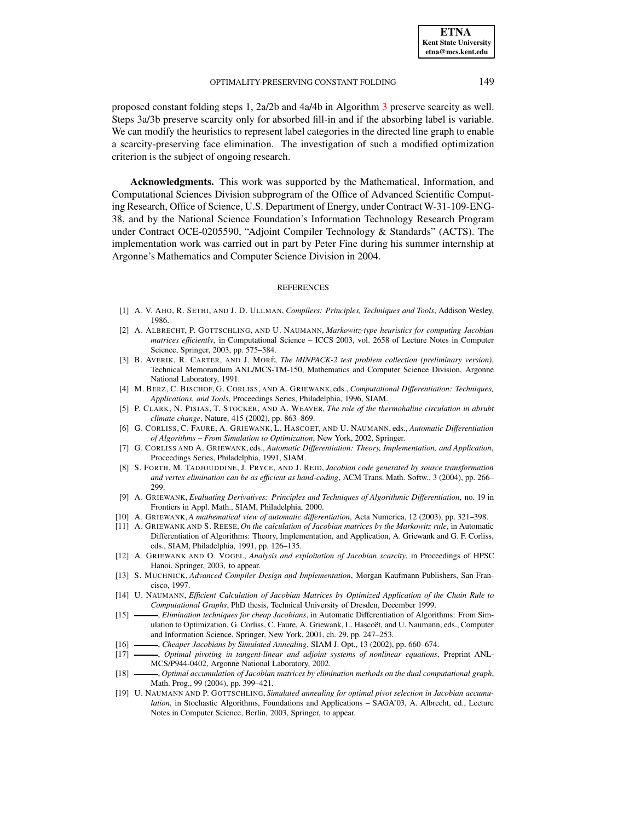proposed constant folding steps 1, 2a/2b and 4a/4b in Algorithm [3](#page-7-2) preserve scarcity as well. Steps 3a/3b preserve scarcity only for absorbed fill-in and if the absorbing label is variable. We can modify the heuristics to represent label categories in the directed line graph to enable a scarcity-preserving face elimination. The investigation of such a modified optimization criterion is the subject of ongoing research.

**Acknowledgments.** This work was supported by the Mathematical, Information, and Computational Sciences Division subprogram of the Office of Advanced Scientific Computing Research, Office of Science, U.S. Department of Energy, under Contract W-31-109-ENG-38, and by the National Science Foundation's Information Technology Research Program under Contract OCE-0205590, "Adjoint Compiler Technology & Standards" (ACTS). The implementation work was carried out in part by Peter Fine during his summer internship at Argonne's Mathematics and Computer Science Division in 2004.

#### **REFERENCES**

- <span id="page-15-14"></span><span id="page-15-7"></span>[1] A. V. AHO, R. SETHI, AND J. D. ULLMAN, *Compilers: Principles, Techniques and Tools*, Addison Wesley, 1986.
- [2] A. ALBRECHT, P. GOTTSCHLING, AND U. NAUMANN, *Markowitz-type heuristics for computing Jacobian matrices efficiently*, in Computational Science – ICCS 2003, vol. 2658 of Lecture Notes in Computer Science, Springer, 2003, pp. 575–584.
- <span id="page-15-16"></span>[3] B. AVERIK, R. CARTER, AND J. MORÉ, *The MINPACK-2 test problem collection (preliminary version)*, Technical Memorandum ANL/MCS-TM-150, Mathematics and Computer Science Division, Argonne National Laboratory, 1991.
- <span id="page-15-11"></span><span id="page-15-4"></span>[4] M. BERZ, C. BISCHOF, G. CORLISS, AND A. GRIEWANK, eds., *Computational Differentiation: Techniques, Applications, and Tools*, Proceedings Series, Philadelphia, 1996, SIAM.
- [5] P. CLARK, N. PISIAS, T. STOCKER, AND A. WEAVER, *The role of the thermohaline circulation in abrubt climate change*, Nature, 415 (2002), pp. 863–869.
- <span id="page-15-5"></span>[6] G. CORLISS, C. FAURE, A. GRIEWANK, L. HASCOET, AND U. NAUMANN, eds., *Automatic Differentiation of Algorithms – From Simulation to Optimization*, New York, 2002, Springer.
- <span id="page-15-3"></span>[7] G. CORLISS AND A. GRIEWANK, eds., *Automatic Differentiation: Theory, Implementation, and Application*, Proceedings Series, Philadelphia, 1991, SIAM.
- <span id="page-15-12"></span>[8] S. FORTH, M. TADJOUDDINE, J. PRYCE, AND J. REID, *Jacobian code generated by source transformation and vertex elimination can be as efficient as hand-coding*, ACM Trans. Math. Softw., 3 (2004), pp. 266– 299.
- <span id="page-15-0"></span>[9] A. GRIEWANK, *Evaluating Derivatives: Principles and Techniques of Algorithmic Differentiation*, no. 19 in Frontiers in Appl. Math., SIAM, Philadelphia, 2000.
- <span id="page-15-18"></span><span id="page-15-2"></span>[10] A. GRIEWANK, *A mathematical view of automatic differentiation*, Acta Numerica, 12 (2003), pp. 321–398.
- [11] A. GRIEWANK AND S. REESE, *On the calculation of Jacobian matrices by the Markowitz rule*, in Automatic Differentiation of Algorithms: Theory, Implementation, and Application, A. Griewank and G. F. Corliss, eds., SIAM, Philadelphia, 1991, pp. 126–135.
- <span id="page-15-17"></span>[12] A. GRIEWANK AND O. VOGEL, *Analysis and exploitation of Jacobian scarcity*, in Proceedings of HPSC Hanoi, Springer, 2003, to appear.
- <span id="page-15-1"></span>[13] S. MUCHNICK, *Advanced Compiler Design and Implementation*, Morgan Kaufmann Publishers, San Francisco, 1997.
- <span id="page-15-13"></span>[14] U. NAUMANN, *Efficient Calculation of Jacobian Matrices by Optimized Application of the Chain Rule to Computational Graphs*, PhD thesis, Technical University of Dresden, December 1999.
- <span id="page-15-8"></span>[15] , *Elimination techniques for cheap Jacobians*, in Automatic Differentiation of Algorithms: From Simulation to Optimization, G. Corliss, C. Faure, A. Griewank, L. Hascoet, and U. Naumann, eds., Computer and Information Science, Springer, New York, 2001, ch. 29, pp. 247–253.
- <span id="page-15-15"></span>[16] , *Cheaper Jacobians by Simulated Annealing*, SIAM J. Opt., 13 (2002), pp. 660–674.
- <span id="page-15-10"></span><span id="page-15-6"></span>[17] , *Optimal pivoting in tangent-linear and adjoint systems of nonlinear equations*, Preprint ANL-MCS/P944-0402, Argonne National Laboratory, 2002.
- [18] , *Optimal accumulation of Jacobian matrices by elimination methods on the dual computational graph*, Math. Prog., 99 (2004), pp. 399–421.
- <span id="page-15-9"></span>[19] U. NAUMANN AND P. GOTTSCHLING, *Simulated annealing for optimal pivot selection in Jacobian accumulation*, in Stochastic Algorithms, Foundations and Applications – SAGA'03, A. Albrecht, ed., Lecture Notes in Computer Science, Berlin, 2003, Springer, to appear.